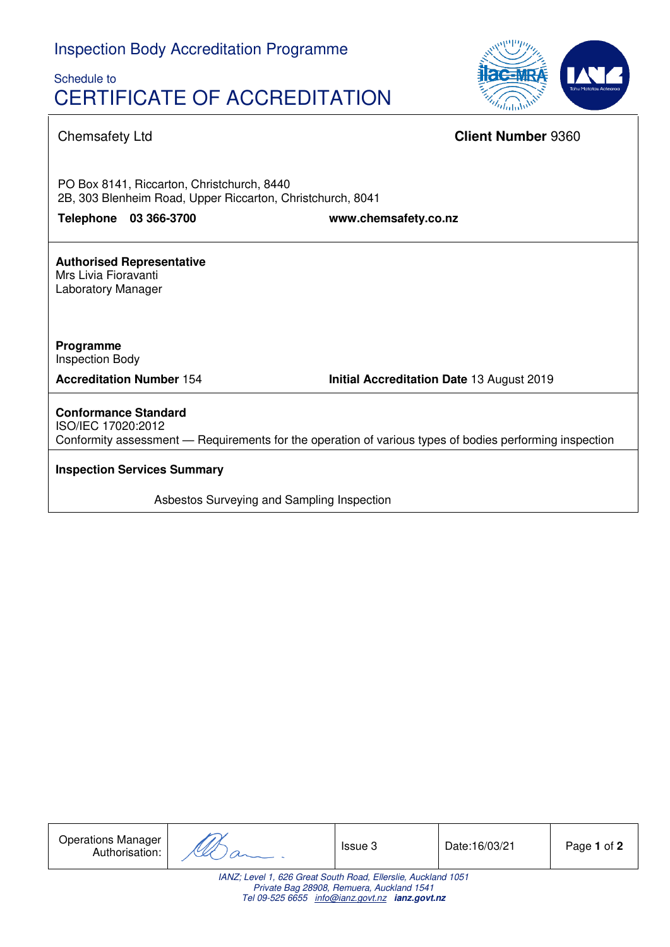# Schedule to CERTIFICATE OF ACCREDITATION



## Chemsafety Ltd **Client Number** 9360

PO Box 8141, Riccarton, Christchurch, 8440 2B, 303 Blenheim Road, Upper Riccarton, Christchurch, 8041

**Telephone 03 366-3700 www.chemsafety.co.nz**

**Authorised Representative**  Mrs Livia Fioravanti Laboratory Manager

**Programme**  Inspection Body

**Accreditation Number** 154 **Initial Accreditation Date** 13 August 2019

**Conformance Standard**  ISO/IEC 17020:2012 Conformity assessment — Requirements for the operation of various types of bodies performing inspection

**Inspection Services Summary**

Asbestos Surveying and Sampling Inspection